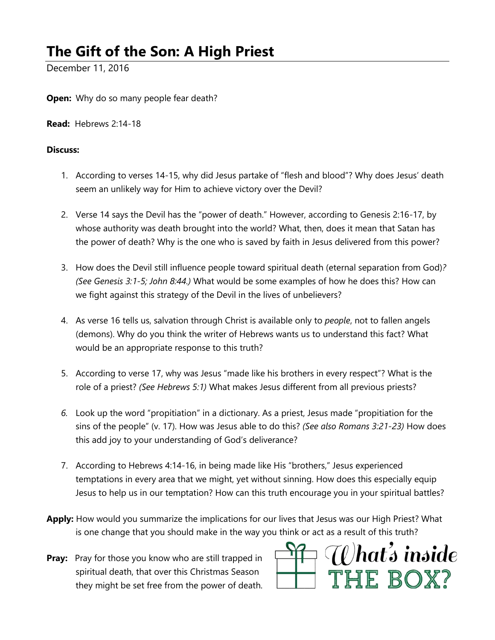## **The Gift of the Son: A High Priest**

December 11, 2016

**Open:** Why do so many people fear death?

**Read:** Hebrews 2:14-18

## **Discuss:**

- 1. According to verses 14-15, why did Jesus partake of "flesh and blood"? Why does Jesus' death seem an unlikely way for Him to achieve victory over the Devil?
- 2. Verse 14 says the Devil has the "power of death." However, according to Genesis 2:16-17, by whose authority was death brought into the world? What, then, does it mean that Satan has the power of death? Why is the one who is saved by faith in Jesus delivered from this power?
- 3. How does the Devil still influence people toward spiritual death (eternal separation from God)*? (See Genesis 3:1-5; John 8:44.)* What would be some examples of how he does this? How can we fight against this strategy of the Devil in the lives of unbelievers?
- 4. As verse 16 tells us, salvation through Christ is available only to *people*, not to fallen angels (demons). Why do you think the writer of Hebrews wants us to understand this fact? What would be an appropriate response to this truth?
- 5. According to verse 17, why was Jesus "made like his brothers in every respect"? What is the role of a priest? *(See Hebrews 5:1)* What makes Jesus different from all previous priests?
- *6.* Look up the word "propitiation" in a dictionary. As a priest, Jesus made "propitiation for the sins of the people" (v. 17). How was Jesus able to do this? *(See also Romans 3:21-23)* How does this add joy to your understanding of God's deliverance?
- 7. According to Hebrews 4:14-16, in being made like His "brothers," Jesus experienced temptations in every area that we might, yet without sinning. How does this especially equip Jesus to help us in our temptation? How can this truth encourage you in your spiritual battles?
- **Apply:** How would you summarize the implications for our lives that Jesus was our High Priest? What is one change that you should make in the way you think or act as a result of this truth?
- **Pray:** Pray for those you know who are still trapped in spiritual death, that over this Christmas Season they might be set free from the power of death.